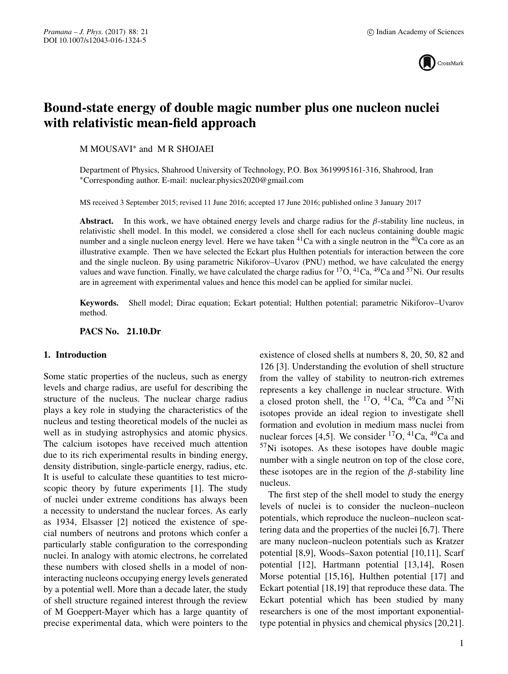

# **Bound-state energy of double magic number plus one nucleon nuclei with relativistic mean-field approach**

M MOUSAVI∗ and M R SHOJAEI

Department of Physics, Shahrood University of Technology, P.O. Box 3619995161-316, Shahrood, Iran ∗Corresponding author. E-mail: nuclear.physics2020@gmail.com

MS received 3 September 2015; revised 11 June 2016; accepted 17 June 2016; published online 3 January 2017

**Abstract.** In this work, we have obtained energy levels and charge radius for the  $\beta$ -stability line nucleus, in relativistic shell model. In this model, we considered a close shell for each nucleus containing double magic number and a single nucleon energy level. Here we have taken  ${}^{41}Ca$  with a single neutron in the  ${}^{40}Ca$  core as an illustrative example. Then we have selected the Eckart plus Hulthen potentials for interaction between the core and the single nucleon. By using parametric Nikiforov–Uvarov (PNU) method, we have calculated the energy values and wave function. Finally, we have calculated the charge radius for <sup>17</sup>O, <sup>41</sup>Ca, <sup>49</sup>Ca and <sup>57</sup>Ni. Our results are in agreement with experimental values and hence this model can be applied for similar nuclei.

**Keywords.** Shell model; Dirac equation; Eckart potential; Hulthen potential; parametric Nikiforov–Uvarov method.

**PACS No. 21.10.Dr**

## **1. Introduction**

Some static properties of the nucleus, such as energy levels and charge radius, are useful for describing the structure of the nucleus. The nuclear charge radius plays a key role in studying the characteristics of the nucleus and testing theoretical models of the nuclei as well as in studying astrophysics and atomic physics. The calcium isotopes have received much attention due to its rich experimental results in binding energy, density distribution, single-particle energy, radius, etc. It is useful to calculate these quantities to test microscopic theory by future experiments [1]. The study of nuclei under extreme conditions has always been a necessity to understand the nuclear forces. As early as 1934, Elsasser [2] noticed the existence of special numbers of neutrons and protons which confer a particularly stable configuration to the corresponding nuclei. In analogy with atomic electrons, he correlated these numbers with closed shells in a model of noninteracting nucleons occupying energy levels generated by a potential well. More than a decade later, the study of shell structure regained interest through the review of M Goeppert-Mayer which has a large quantity of precise experimental data, which were pointers to the existence of closed shells at numbers 8, 20, 50, 82 and 126 [3]. Understanding the evolution of shell structure from the valley of stability to neutron-rich extremes represents a key challenge in nuclear structure. With a closed proton shell, the  $^{17}O$ ,  $^{41}Ca$ ,  $^{49}Ca$  and  $^{57}Ni$ isotopes provide an ideal region to investigate shell formation and evolution in medium mass nuclei from nuclear forces [4,5]. We consider  ${}^{17}O$ ,  ${}^{41}Ca$ ,  ${}^{49}Ca$  and  $57$ Ni isotopes. As these isotopes have double magic number with a single neutron on top of the close core, these isotopes are in the region of the  $\beta$ -stability line nucleus.

The first step of the shell model to study the energy levels of nuclei is to consider the nucleon–nucleon potentials, which reproduce the nucleon–nucleon scattering data and the properties of the nuclei [6,7]. There are many nucleon–nucleon potentials such as Kratzer potential [8,9], Woods–Saxon potential [10,11], Scarf potential [12], Hartmann potential [13,14], Rosen Morse potential [15,16], Hulthen potential [17] and Eckart potential [18,19] that reproduce these data. The Eckart potential which has been studied by many researchers is one of the most important exponentialtype potential in physics and chemical physics [20,21].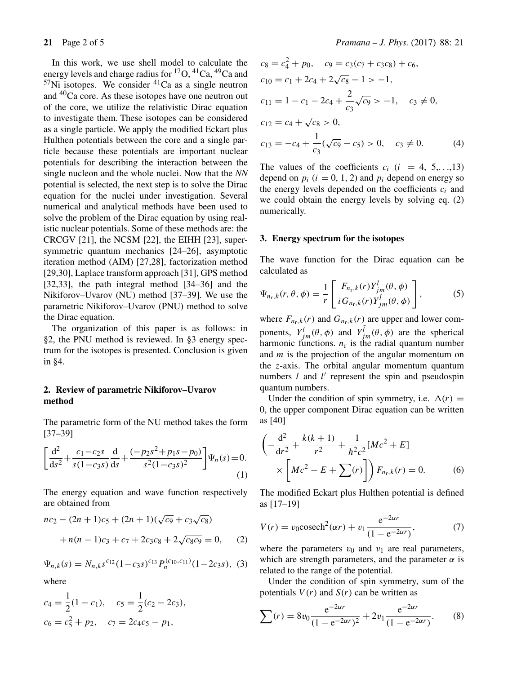In this work, we use shell model to calculate the energy levels and charge radius for <sup>17</sup>O, <sup>41</sup>Ca, <sup>49</sup>Ca and  $57$ Ni isotopes. We consider  $41$ Ca as a single neutron and 40Ca core. As these isotopes have one neutron out of the core, we utilize the relativistic Dirac equation to investigate them. These isotopes can be considered as a single particle. We apply the modified Eckart plus Hulthen potentials between the core and a single particle because these potentials are important nuclear potentials for describing the interaction between the single nucleon and the whole nuclei. Now that the *NN* potential is selected, the next step is to solve the Dirac equation for the nuclei under investigation. Several numerical and analytical methods have been used to solve the problem of the Dirac equation by using realistic nuclear potentials. Some of these methods are: the CRCGV [21], the NCSM [22], the EIHH [23], supersymmetric quantum mechanics [24–26], asymptotic iteration method (AIM) [27,28], factorization method [29,30], Laplace transform approach [31], GPS method [32,33], the path integral method [34–36] and the Nikiforov–Uvarov (NU) method [37–39]. We use the parametric Nikiforov–Uvarov (PNU) method to solve the Dirac equation.

The organization of this paper is as follows: in §2, the PNU method is reviewed. In §3 energy spectrum for the isotopes is presented. Conclusion is given in §4.

## **2. Review of parametric Nikiforov–Uvarov method**

The parametric form of the NU method takes the form [37–39]

$$
\left[\frac{d^2}{ds^2} + \frac{c_1 - c_2s}{s(1 - c_3s)}\frac{d}{ds} + \frac{(-p_2s^2 + p_1s - p_0)}{s^2(1 - c_3s)^2}\right]\Psi_n(s) = 0.
$$
\n(1)

The energy equation and wave function respectively are obtained from

$$
nc_2 - (2n + 1)c_5 + (2n + 1)(\sqrt{c_9} + c_3\sqrt{c_8})
$$
  
+  $n(n - 1)c_3 + c_7 + 2c_3c_8 + 2\sqrt{c_8c_9} = 0,$  (2)

$$
\Psi_{n,k}(s) = N_{n,k} s^{c_{12}} (1 - c_3 s)^{c_{13}} P_n^{(c_{10},c_{11})} (1 - 2c_3 s), \tag{3}
$$

where

$$
c_4 = \frac{1}{2}(1 - c_1), \quad c_5 = \frac{1}{2}(c_2 - 2c_3),
$$
  

$$
c_6 = c_5^2 + p_2, \quad c_7 = 2c_4c_5 - p_1,
$$

$$
c_8 = c_4^2 + p_0, \quad c_9 = c_3(c_7 + c_3c_8) + c_6,
$$
  
\n
$$
c_{10} = c_1 + 2c_4 + 2\sqrt{c_8} - 1 > -1,
$$
  
\n
$$
c_{11} = 1 - c_1 - 2c_4 + \frac{2}{c_3}\sqrt{c_9} > -1, \quad c_3 \neq 0,
$$
  
\n
$$
c_{12} = c_4 + \sqrt{c_8} > 0,
$$
  
\n
$$
c_{13} = -c_4 + \frac{1}{c_3}(\sqrt{c_9} - c_5) > 0, \quad c_3 \neq 0.
$$
\n(4)

The values of the coefficients  $c_i$  ( $i = 4, 5,...,13$ ) depend on  $p_i$  ( $i = 0, 1, 2$ ) and  $p_i$  depend on energy so the energy levels depended on the coefficients  $c_i$  and we could obtain the energy levels by solving eq. (2) numerically.

## **3. Energy spectrum for the isotopes**

The wave function for the Dirac equation can be calculated as

$$
\Psi_{n_{\rm r},k}(r,\theta,\phi) = \frac{1}{r} \left[ \begin{array}{c} F_{n_{\rm r},k}(r) Y_{jm}^{l}(\theta,\phi) \\ i G_{n_{\rm r},k}(r) Y_{jm}^{\tilde{l}}(\theta,\phi) \end{array} \right],
$$
 (5)

where  $F_{n_r,k}(r)$  and  $G_{n_r,k}(r)$  are upper and lower components,  $Y_{im}^{l}(\theta, \phi)$  and  $Y_{im}^{\tilde{l}}(\theta, \phi)$  are the spherical harmonic functions.  $n_r$  is the radial quantum number and  $m$  is the projection of the angular momentum on the z-axis. The orbital angular momentum quantum numbers  $l$  and  $l'$  represent the spin and pseudospin quantum numbers.

Under the condition of spin symmetry, i.e.  $\Delta(r)$  = 0, the upper component Dirac equation can be written as [40]

$$
\left(-\frac{d^2}{dr^2} + \frac{k(k+1)}{r^2} + \frac{1}{\hbar^2 c^2} [Mc^2 + E] \times \left[Mc^2 - E + \sum(r) \right] \right) F_{n_r,k}(r) = 0.
$$
 (6)

The modified Eckart plus Hulthen potential is defined as [17–19]

$$
V(r) = v_0 \csch^2(\alpha r) + v_1 \frac{e^{-2\alpha r}}{(1 - e^{-2\alpha r})},
$$
 (7)

where the parameters  $v_0$  and  $v_1$  are real parameters, which are strength parameters, and the parameter  $\alpha$  is related to the range of the potential.

Under the condition of spin symmetry, sum of the potentials  $V(r)$  and  $S(r)$  can be written as

$$
\sum(r) = 8v_0 \frac{e^{-2\alpha r}}{(1 - e^{-2\alpha r})^2} + 2v_1 \frac{e^{-2\alpha r}}{(1 - e^{-2\alpha r})}. \tag{8}
$$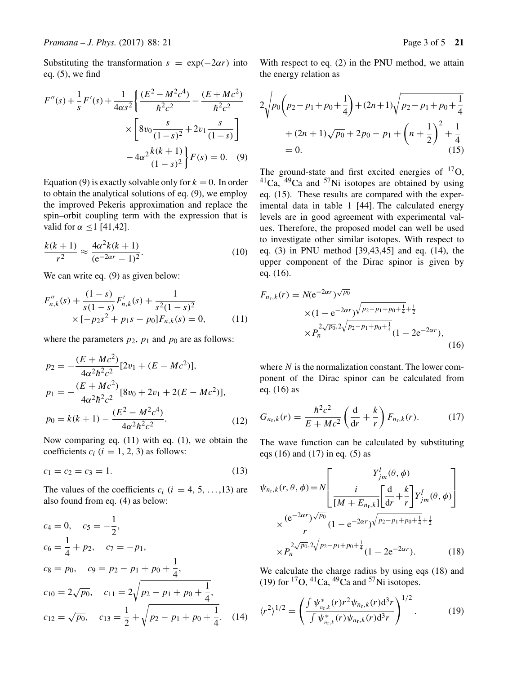Substituting the transformation  $s = \exp(-2\alpha r)$  into eq. (5), we find

$$
F''(s) + \frac{1}{s}F'(s) + \frac{1}{4\alpha s^2} \left\{ \frac{(E^2 - M^2c^4)}{\hbar^2c^2} - \frac{(E + Mc^2)}{\hbar^2c^2} \right\}
$$

$$
\times \left[ 8v_0 \frac{s}{(1-s)^2} + 2v_1 \frac{s}{(1-s)} \right]
$$

$$
-4\alpha^2 \frac{k(k+1)}{(1-s)^2} F(s) = 0. \quad (9)
$$

Equation (9) is exactly solvable only for  $k = 0$ . In order to obtain the analytical solutions of eq. (9), we employ the improved Pekeris approximation and replace the spin–orbit coupling term with the expression that is valid for  $\alpha \leq 1$  [41,42].

$$
\frac{k(k+1)}{r^2} \approx \frac{4\alpha^2 k(k+1)}{(e^{-2\alpha r} - 1)^2}.
$$
 (10)

We can write eq. (9) as given below:

$$
F''_{n,k}(s) + \frac{(1-s)}{s(1-s)} F'_{n,k}(s) + \frac{1}{s^2(1-s)^2}
$$
  
×  $[-p_2s^2 + p_1s - p_0]F_{n,k}(s) = 0,$  (11)

where the parameters  $p_2$ ,  $p_1$  and  $p_0$  are as follows:

$$
p_2 = -\frac{(E + Mc^2)}{4\alpha^2 \hbar^2 c^2} [2v_1 + (E - Mc^2)],
$$
  
\n
$$
p_1 = -\frac{(E + Mc^2)}{4\alpha^2 \hbar^2 c^2} [8v_0 + 2v_1 + 2(E - Mc^2)],
$$
  
\n
$$
p_0 = k(k+1) - \frac{(E^2 - M^2 c^4)}{4\alpha^2 \hbar^2 c^2}.
$$
\n(12)

Now comparing eq. (11) with eq. (1), we obtain the coefficients  $c_i$  ( $i = 1, 2, 3$ ) as follows:

$$
c_1 = c_2 = c_3 = 1.
$$
 (13)

The values of the coefficients  $c_i$  ( $i = 4, 5, \ldots, 13$ ) are also found from eq. (4) as below:

$$
c_4 = 0, \quad c_5 = -\frac{1}{2},
$$
  
\n
$$
c_6 = \frac{1}{4} + p_2, \quad c_7 = -p_1,
$$
  
\n
$$
c_8 = p_0, \quad c_9 = p_2 - p_1 + p_0 + \frac{1}{4},
$$
  
\n
$$
c_{10} = 2\sqrt{p_0}, \quad c_{11} = 2\sqrt{p_2 - p_1 + p_0 + \frac{1}{4}},
$$
  
\n
$$
c_{12} = \sqrt{p_0}, \quad c_{13} = \frac{1}{2} + \sqrt{p_2 - p_1 + p_0 + \frac{1}{4}}.
$$
 (14)

With respect to eq. (2) in the PNU method, we attain the energy relation as

$$
2\sqrt{p_0(p_2 - p_1 + p_0 + \frac{1}{4})} + (2n + 1)\sqrt{p_2 - p_1 + p_0 + \frac{1}{4}}
$$
  
+  $(2n + 1)\sqrt{p_0} + 2p_0 - p_1 + \left(n + \frac{1}{2}\right)^2 + \frac{1}{4}$   
= 0. (15)

The ground-state and first excited energies of  $^{17}O$ ,  ${}^{41}$ Ca,  ${}^{49}$ Ca and  ${}^{57}$ Ni isotopes are obtained by using eq.  $(15)$ . These results are compared with the experimental data in table 1 [44]. The calculated energy levels are in good agreement with experimental values. Therefore, the proposed model can well be used to investigate other similar isotopes. With respect to eq. (3) in PNU method [39,43,45] and eq. (14), the upper component of the Dirac spinor is given by eq. (16).

$$
F_{n_{\rm r},k}(r) = N(e^{-2\alpha r})\sqrt{p_0}
$$
  
×(1 - e<sup>-2\alpha r</sup>) $\sqrt{p_2-p_1+p_0+\frac{1}{4}+\frac{1}{2}}$   
× $P_n^{2\sqrt{p_0},2\sqrt{p_2-p_1+p_0+\frac{1}{4}}}$ (1 - 2e<sup>-2\alpha r</sup>), (16)

where  $N$  is the normalization constant. The lower component of the Dirac spinor can be calculated from eq. (16) as

$$
G_{n_{\rm r},k}(r) = \frac{\hbar^2 c^2}{E + Mc^2} \left(\frac{d}{dr} + \frac{k}{r}\right) F_{n_{\rm r},k}(r). \tag{17}
$$

The wave function can be calculated by substituting eqs (16) and (17) in eq. (5) as

$$
\psi_{n_{r},k}(r,\theta,\phi) = N \left[ \frac{Y_{jm}^{l}(\theta,\phi)}{\left[M + E_{n_{r},k}\right] \left[\frac{d}{dr} + \frac{k}{r}\right] Y_{jm}^{\tilde{l}}(\theta,\phi)} \right] \times \frac{(e^{-2\alpha r})^{\sqrt{p_0}}}{r} (1 - e^{-2\alpha r})^{\sqrt{p_2 - p_1 + p_0 + \frac{1}{4}} + \frac{1}{2}} \times P_n^{2\sqrt{p_0},2\sqrt{p_2 - p_1 + p_0 + \frac{1}{4}}}(1 - 2e^{-2\alpha r}). \tag{18}
$$

We calculate the charge radius by using eqs (18) and (19) for  ${}^{17}O$ ,  ${}^{41}Ca$ ,  ${}^{49}Ca$  and  ${}^{57}Ni$  isotopes.

$$
\langle r^2 \rangle^{1/2} = \left( \frac{\int \psi_{n_r,k}^*(r) r^2 \psi_{n_r,k}(r) \mathrm{d}^3 r}{\int \psi_{n_r,k}^*(r) \psi_{n_r,k}(r) \mathrm{d}^3 r} \right)^{1/2} . \tag{19}
$$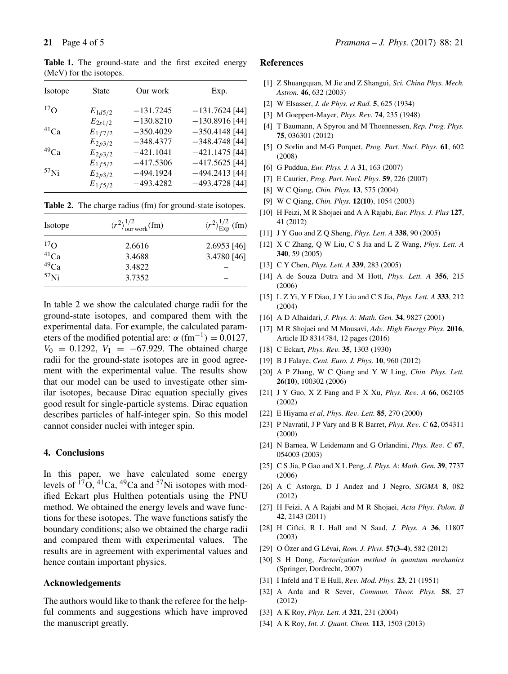Table 1. The ground-state and the first excited energy (MeV) for the isotopes.

| Isotope          | <b>State</b> | Our work    | Exp.             |
|------------------|--------------|-------------|------------------|
| $^{17}$ $\Omega$ | $E_{1d5/2}$  | $-131.7245$ | $-131.7624$ [44] |
|                  | $E_{2s1/2}$  | $-130.8210$ | $-130.8916$ [44] |
| $^{41}Ca$        | $E_{1f7/2}$  | $-350.4029$ | $-350.4148$ [44] |
|                  | $E_{2p3/2}$  | $-348.4377$ | $-348.4748$ [44] |
| $^{49}Ca$        | $E_{2p3/2}$  | $-421.1041$ | $-421.1475$ [44] |
|                  | $E_{1f5/2}$  | $-417.5306$ | $-417.5625$ [44] |
| 57 <sub>Ni</sub> | $E_{2p3/2}$  | $-494.1924$ | $-494.2413$ [44] |
|                  | $E_{1f5/2}$  | $-493.4282$ | $-493.4728$ [44] |

**Table 2.** The charge radius (fm) for ground-state isotopes.

| Isotope                 | $\langle r^2 \rangle^{1/2}_{\text{our work}}(\text{fm})$ | $\langle r^2 \rangle^{1/2}_{\text{Exp}}$ (fm) |  |
|-------------------------|----------------------------------------------------------|-----------------------------------------------|--|
|                         | 2.6616                                                   | $2.6953$ [46]                                 |  |
| $^{17}$ O<br>$^{41}$ Ca | 3.4688                                                   | 3.4780 [46]                                   |  |
| $^{49}Ca$               | 3.4822                                                   |                                               |  |
| $57$ Ni                 | 3.7352                                                   |                                               |  |

In table 2 we show the calculated charge radii for the ground-state isotopes, and compared them with the experimental data. For example, the calculated parameters of the modified potential are:  $\alpha$  (fm<sup>-1</sup>) = 0.0127,  $V_0 = 0.1292$ ,  $V_1 = -67.929$ . The obtained charge radii for the ground-state isotopes are in good agreement with the experimental value. The results show that our model can be used to investigate other similar isotopes, because Dirac equation specially gives good result for single-particle systems. Dirac equation describes particles of half-integer spin. So this model cannot consider nuclei with integer spin.

#### **4. Conclusions**

In this paper, we have calculated some energy levels of  $^{17}O$ ,  $^{41}Ca$ ,  $^{49}Ca$  and  $^{57}Ni$  isotopes with modified Eckart plus Hulthen potentials using the PNU method. We obtained the energy levels and wave functions for these isotopes. The wave functions satisfy the boundary conditions; also we obtained the charge radii and compared them with experimental values. The results are in agreement with experimental values and hence contain important physics.

## **Acknowledgements**

The authors would like to thank the referee for the helpful comments and suggestions which have improved the manuscript greatly.

#### **References**

- [1] Z Shuangquan, M Jie and Z Shangui, *Sci. China Phys. Mech. Astron.* **46**, 632 (2003)
- [2] W Elsasser, *J. de Phys. et Rad.* **5**, 625 (1934)
- [3] M Goeppert-Mayer, *Phys. Re*v*.* **74**, 235 (1948)
- [4] T Baumann, A Spyrou and M Thoennessen, *Rep. Prog. Phys.* **75**, 036301 (2012)
- [5] O Sorlin and M-G Porquet, *Prog. Part. Nucl. Phys.* **61**, 602 (2008)
- [6] G Puddua, *Eur. Phys. J. A* **31**, 163 (2007)
- [7] E Caurier, *Prog. Part. Nucl. Phys.* **59**, 226 (2007)
- [8] W C Qiang, *Chin. Phys.* **13**, 575 (2004)
- [9] W C Qiang, *Chin. Phys.* **12(10)**, 1054 (2003)
- [10] H Feizi, M R Shojaei and A A Rajabi, *Eur. Phys. J. Plus* **127**, 41 (2012)
- [11] J Y Guo and Z Q Sheng, *Phys. Lett. A* **338**, 90 (2005)
- [12] X C Zhang, Q W Liu, C S Jia and L Z Wang, *Phys. Lett. A* **340**, 59 (2005)
- [13] C Y Chen, *Phys. Lett. A* **339**, 283 (2005)
- [14] A de Souza Dutra and M Hott, *Phys. Lett. A* **356**, 215 (2006)
- [15] L Z Yi, Y F Diao, J Y Liu and C S Jia, *Phys. Lett. A* **333**, 212 (2004)
- [16] A D Alhaidari, *J. Phys. A*: *Math. Gen.* **34**, 9827 (2001)
- [17] M R Shojaei and M Mousavi, *Ad*v*. High Energy Phys*. **2016**, Article ID 8314784, 12 pages (2016)
- [18] C Eckart, *Phys. Re*v*.* **35**, 1303 (1930)
- [19] B J Falaye, *Cent. Euro. J. Phys.* **10**, 960 (2012)
- [20] A P Zhang, W C Qiang and Y W Ling, *Chin. Phys. Lett.* **26(10)**, 100302 (2006)
- [21] J Y Guo, X Z Fang and F X Xu, *Phys. Re*v*. A* **66**, 062105 (2002)
- [22] E Hiyama *et al*, *Phys. Re*v*. Lett.* **85**, 270 (2000)
- [23] P Navratil, J P Vary and B R Barret, *Phys. Re*v*. C* **62**, 054311 (2000)
- [24] N Barnea, W Leidemann and G Orlandini, *Phys. Re*v*. C* **67**, 054003 (2003)
- [25] C S Jia, P Gao and X L Peng, *J. Phys. A*: *Math. Gen.* **39**, 7737 (2006)
- [26] A C Astorga, D J Andez and J Negro, *SIGMA* **8**, 082 (2012)
- [27] H Feizi, A A Rajabi and M R Shojaei, *Acta Phys. Polon. B* **42**, 2143 (2011)
- [28] H Ciftci, R L Hall and N Saad, *J. Phys. A* **36**, 11807 (2003)
- [29] O Özer and G Lévai, *Rom. J. Phys.* **57(3–4)**, 582 (2012)
- [30] S H Dong, *Factorization method in quantum mechanics* (Springer, Dordrecht, 2007)
- [31] I Infeld and T E Hull, *Re*v*. Mod. Phys.* **23**, 21 (1951)
- [32] A Arda and R Sever, *Commun. Theor. Phys.* **58**, 27 (2012)
- [33] A K Roy, *Phys. Lett. A* **321**, 231 (2004)
- [34] A K Roy, *Int. J. Quant. Chem.* **113**, 1503 (2013)